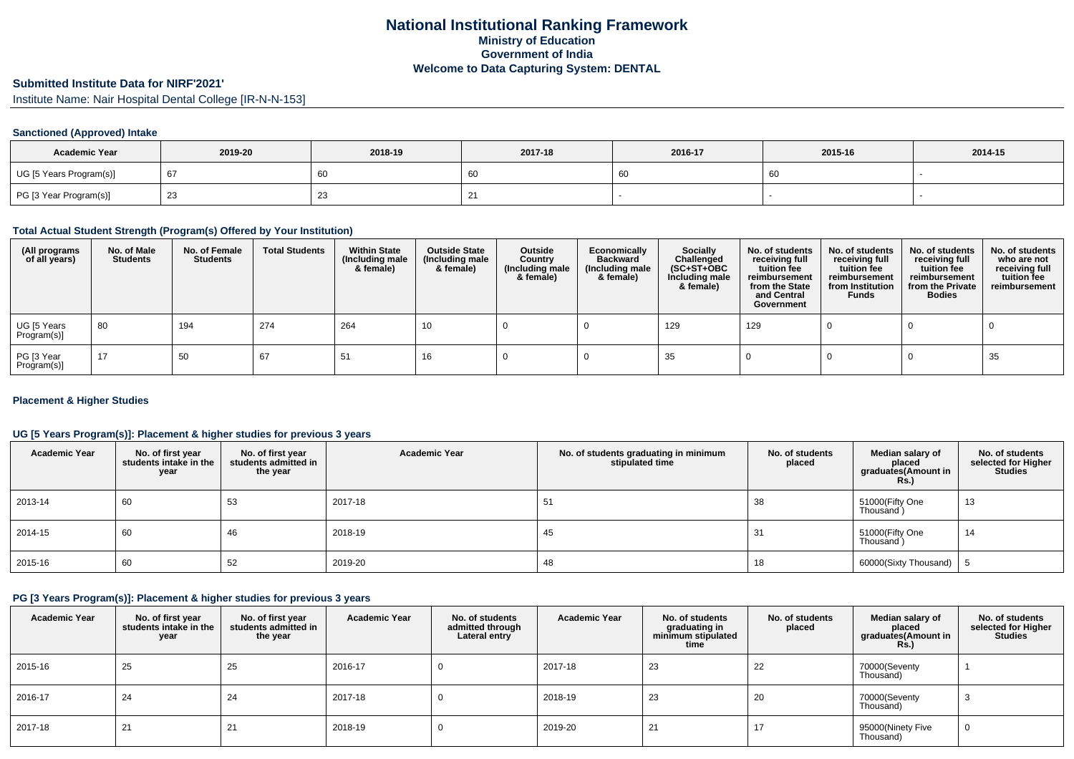# **Submitted Institute Data for NIRF'2021'**

Institute Name: Nair Hospital Dental College [IR-N-N-153]

### **Sanctioned (Approved) Intake**

| <b>Academic Year</b>    | 2019-20 | 2018-19 | 2017-18 | 2016-17 | 2015-16 | 2014-15 |
|-------------------------|---------|---------|---------|---------|---------|---------|
| UG [5 Years Program(s)] | h.      | 60      | 60      |         | 60      |         |
| PG [3 Year Program(s)]  |         | 23      |         |         |         |         |

### **Total Actual Student Strength (Program(s) Offered by Your Institution)**

| (All programs<br>of all years) | No. of Male<br><b>Students</b> | No. of Female<br><b>Students</b> | <b>Total Students</b> | <b>Within State</b><br>(Including male<br>& female) | <b>Outside State</b><br>(Including male<br>& female) | Outside<br>Country<br>(Including male<br>& female) | Economically<br><b>Backward</b><br>(Including male<br>& female) | <b>Socially</b><br>Challenged<br>$(SC+ST+OBC)$<br>Including male<br>& female) | No. of students<br>receiving full<br>tuition fee<br>reimbursement<br>from the State<br>and Central<br>Government | No. of students<br>receiving full<br>tuition fee<br>reimbursement<br>from Institution<br><b>Funds</b> | No. of students<br>receiving full<br>tuition fee<br>reimbursement<br>from the Private<br><b>Bodies</b> | No. of students<br>who are not<br>receiving full<br>tuition fee<br>reimbursement |
|--------------------------------|--------------------------------|----------------------------------|-----------------------|-----------------------------------------------------|------------------------------------------------------|----------------------------------------------------|-----------------------------------------------------------------|-------------------------------------------------------------------------------|------------------------------------------------------------------------------------------------------------------|-------------------------------------------------------------------------------------------------------|--------------------------------------------------------------------------------------------------------|----------------------------------------------------------------------------------|
| UG [5 Years<br>Program(s)]     | 80                             | 194                              | 274                   | 264                                                 | 10                                                   |                                                    |                                                                 | 129                                                                           | 129                                                                                                              |                                                                                                       |                                                                                                        |                                                                                  |
| PG [3 Year<br>Program(s)]      | 17                             | 50                               | 67                    | 51                                                  | 16                                                   |                                                    |                                                                 | 35                                                                            |                                                                                                                  |                                                                                                       |                                                                                                        | 35                                                                               |

#### **Placement & Higher Studies**

#### **UG [5 Years Program(s)]: Placement & higher studies for previous 3 years**

| <b>Academic Year</b> | No. of first year<br>students intake in the<br>year | No. of first year<br>students admitted in<br>the year | <b>Academic Year</b> | No. of students graduating in minimum<br>stipulated time | No. of students<br>placed | Median salary of<br>placed<br>graduates(Amount in<br>Rs. | No. of students<br>selected for Higher<br><b>Studies</b> |
|----------------------|-----------------------------------------------------|-------------------------------------------------------|----------------------|----------------------------------------------------------|---------------------------|----------------------------------------------------------|----------------------------------------------------------|
| 2013-14              | 60                                                  | 53                                                    | 2017-18              | 51                                                       | 38                        | 51000(Fifty One<br>Thousand)                             | 13                                                       |
| 2014-15              | 60                                                  | 46                                                    | 2018-19              | 45                                                       | 31                        | 51000(Fifty One<br>Thousand)                             | 14                                                       |
| 2015-16              | 60                                                  | 52                                                    | 2019-20              | 48                                                       | 18                        | 60000(Sixty Thousand)                                    |                                                          |

### **PG [3 Years Program(s)]: Placement & higher studies for previous 3 years**

| <b>Academic Year</b> | No. of first year<br>students intake in the<br>year | No. of first year<br>students admitted in<br>the year | <b>Academic Year</b> | No. of students<br>admitted through<br>Lateral entry | <b>Academic Year</b> | No. of students<br>graduating in<br>minimum stipulated<br>time | No. of students<br>placed | Median salary of<br>placed<br>graduates(Amount in<br>Rs.) | No. of students<br>selected for Higher<br><b>Studies</b> |
|----------------------|-----------------------------------------------------|-------------------------------------------------------|----------------------|------------------------------------------------------|----------------------|----------------------------------------------------------------|---------------------------|-----------------------------------------------------------|----------------------------------------------------------|
| 2015-16              | 25                                                  | 25                                                    | 2016-17              | -0                                                   | 2017-18              | 23                                                             | 22                        | 70000(Seventy<br>Thousand)                                |                                                          |
| 2016-17              | 24                                                  | 24                                                    | 2017-18              |                                                      | 2018-19              | 23                                                             | 20                        | 70000(Seventy<br>Thousand)                                | ັ                                                        |
| 2017-18              | 21                                                  | 21                                                    | 2018-19              |                                                      | 2019-20              | 21                                                             | 17                        | 95000(Ninety Five<br>Thousand)                            |                                                          |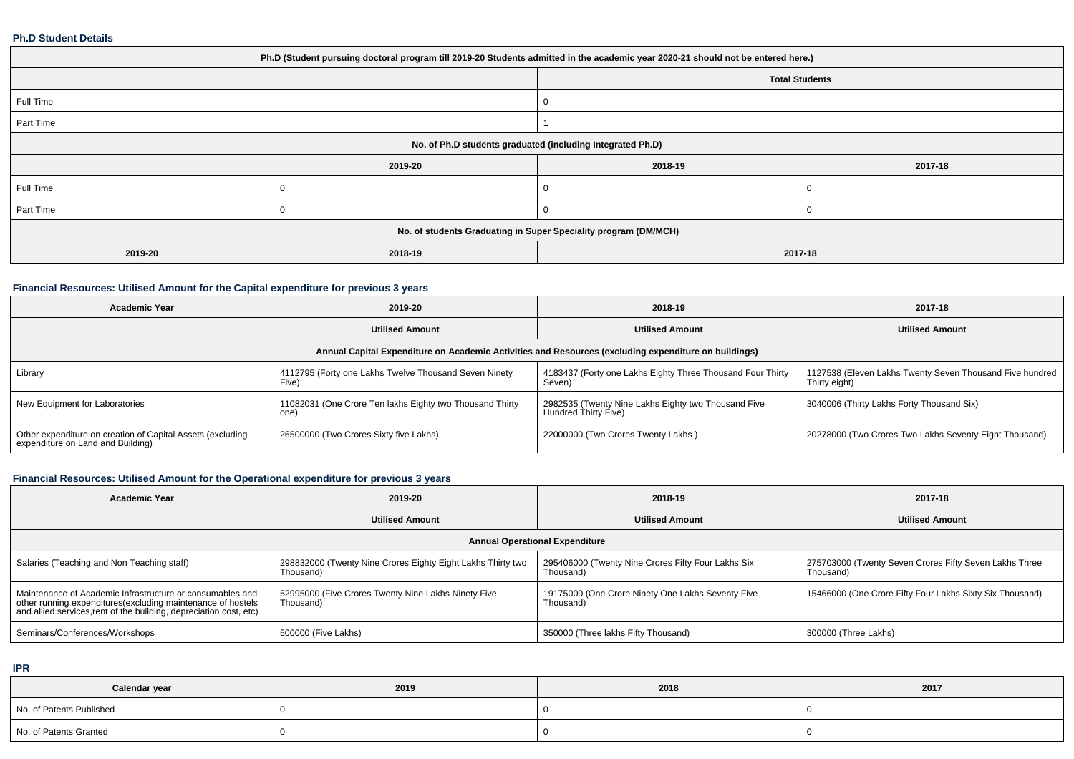#### **Ph.D Student Details**

| Ph.D (Student pursuing doctoral program till 2019-20 Students admitted in the academic year 2020-21 should not be entered here.) |         |         |         |  |  |  |  |
|----------------------------------------------------------------------------------------------------------------------------------|---------|---------|---------|--|--|--|--|
| <b>Total Students</b>                                                                                                            |         |         |         |  |  |  |  |
| Full Time                                                                                                                        |         |         |         |  |  |  |  |
| Part Time                                                                                                                        |         |         |         |  |  |  |  |
| No. of Ph.D students graduated (including Integrated Ph.D)                                                                       |         |         |         |  |  |  |  |
|                                                                                                                                  | 2019-20 | 2018-19 | 2017-18 |  |  |  |  |
| Full Time                                                                                                                        |         |         |         |  |  |  |  |
| Part Time                                                                                                                        |         | 0       |         |  |  |  |  |
| No. of students Graduating in Super Speciality program (DM/MCH)                                                                  |         |         |         |  |  |  |  |
| 2019-20                                                                                                                          | 2018-19 | 2017-18 |         |  |  |  |  |

### **Financial Resources: Utilised Amount for the Capital expenditure for previous 3 years**

| <b>Academic Year</b>                                                                                 | 2019-20                                                                                                                                | 2018-19                                                                     | 2017-18                                                                   |  |  |  |  |  |  |
|------------------------------------------------------------------------------------------------------|----------------------------------------------------------------------------------------------------------------------------------------|-----------------------------------------------------------------------------|---------------------------------------------------------------------------|--|--|--|--|--|--|
|                                                                                                      | <b>Utilised Amount</b>                                                                                                                 | <b>Utilised Amount</b>                                                      | <b>Utilised Amount</b>                                                    |  |  |  |  |  |  |
| Annual Capital Expenditure on Academic Activities and Resources (excluding expenditure on buildings) |                                                                                                                                        |                                                                             |                                                                           |  |  |  |  |  |  |
| Library                                                                                              | 4112795 (Forty one Lakhs Twelve Thousand Seven Ninety<br>4183437 (Forty one Lakhs Eighty Three Thousand Four Thirty<br>Five)<br>Seven) |                                                                             | 1127538 (Eleven Lakhs Twenty Seven Thousand Five hundred<br>Thirty eight) |  |  |  |  |  |  |
| New Equipment for Laboratories                                                                       | 11082031 (One Crore Ten lakhs Eighty two Thousand Thirty<br>one)                                                                       | 2982535 (Twenty Nine Lakhs Eighty two Thousand Five<br>Hundred Thirty Five) | 3040006 (Thirty Lakhs Forty Thousand Six)                                 |  |  |  |  |  |  |
| Other expenditure on creation of Capital Assets (excluding<br>expenditure on Land and Building)      | 26500000 (Two Crores Sixty five Lakhs)                                                                                                 | 22000000 (Two Crores Twenty Lakhs)                                          | 20278000 (Two Crores Two Lakhs Seventy Eight Thousand)                    |  |  |  |  |  |  |

# **Financial Resources: Utilised Amount for the Operational expenditure for previous 3 years**

| <b>Academic Year</b>                                                                                                                                                                            | 2019-20                                                                  | 2018-19                                                         | 2017-18                                                             |  |  |  |  |  |  |
|-------------------------------------------------------------------------------------------------------------------------------------------------------------------------------------------------|--------------------------------------------------------------------------|-----------------------------------------------------------------|---------------------------------------------------------------------|--|--|--|--|--|--|
|                                                                                                                                                                                                 | <b>Utilised Amount</b>                                                   | <b>Utilised Amount</b>                                          | <b>Utilised Amount</b>                                              |  |  |  |  |  |  |
| <b>Annual Operational Expenditure</b>                                                                                                                                                           |                                                                          |                                                                 |                                                                     |  |  |  |  |  |  |
| Salaries (Teaching and Non Teaching staff)                                                                                                                                                      | 298832000 (Twenty Nine Crores Eighty Eight Lakhs Thirty two<br>Thousand) | 295406000 (Twenty Nine Crores Fifty Four Lakhs Six<br>Thousand) | 275703000 (Twenty Seven Crores Fifty Seven Lakhs Three<br>Thousand) |  |  |  |  |  |  |
| Maintenance of Academic Infrastructure or consumables and<br>other running expenditures (excluding maintenance of hostels<br>and allied services, rent of the building, depreciation cost, etc) | 52995000 (Five Crores Twenty Nine Lakhs Ninety Five<br>Thousand)         | 19175000 (One Crore Ninety One Lakhs Seventy Five<br>Thousand)  | 15466000 (One Crore Fifty Four Lakhs Sixty Six Thousand)            |  |  |  |  |  |  |
| Seminars/Conferences/Workshops                                                                                                                                                                  | 500000 (Five Lakhs)                                                      | 350000 (Three lakhs Fifty Thousand)                             | 300000 (Three Lakhs)                                                |  |  |  |  |  |  |

**IPR**

| Calendar year            | 2019 | 2018 | 2017 |
|--------------------------|------|------|------|
| No. of Patents Published |      |      |      |
| No. of Patents Granted   |      |      |      |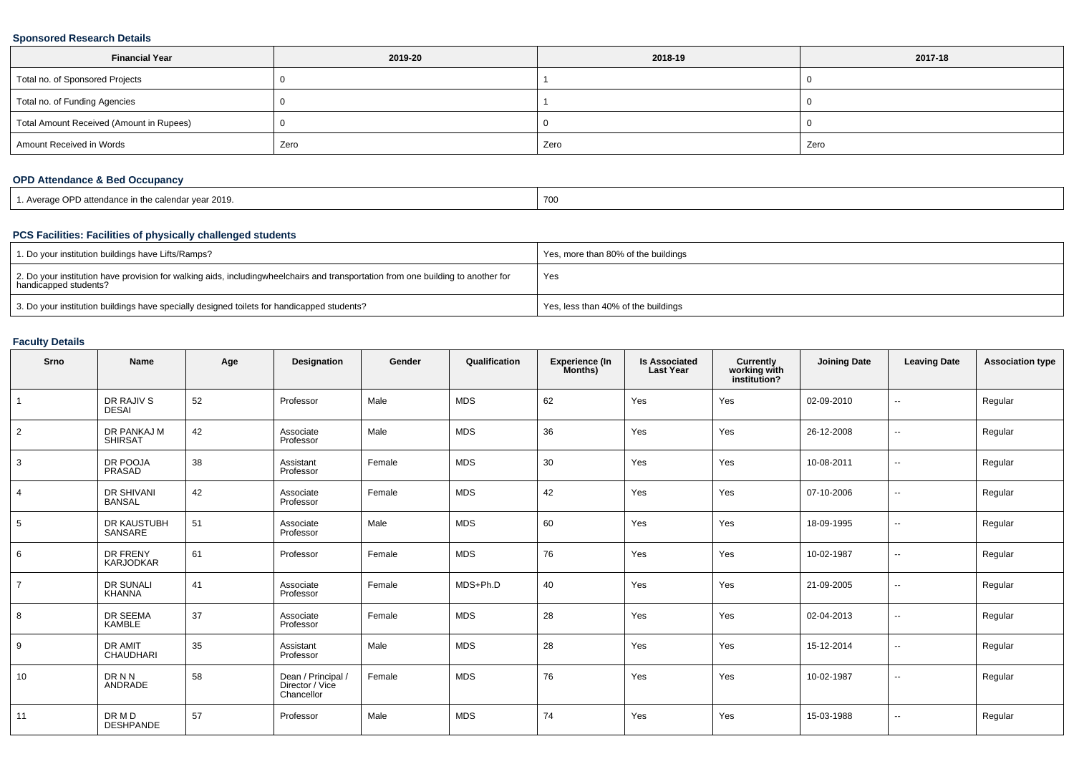#### **Sponsored Research Details**

| <b>Financial Year</b>                    | 2019-20 | 2018-19 | 2017-18 |  |
|------------------------------------------|---------|---------|---------|--|
| Total no. of Sponsored Projects          |         |         |         |  |
| Total no. of Funding Agencies            |         |         |         |  |
| Total Amount Received (Amount in Rupees) |         |         |         |  |
| Amount Received in Words                 | Zero    | Zero    | Zero    |  |

### **OPD Attendance & Bed Occupancy**

| . Average OPD attendance in the calendar year 2019. | 700 |
|-----------------------------------------------------|-----|
|-----------------------------------------------------|-----|

### **PCS Facilities: Facilities of physically challenged students**

| 1. Do your institution buildings have Lifts/Ramps?                                                                                                        | Yes, more than 80% of the buildings |
|-----------------------------------------------------------------------------------------------------------------------------------------------------------|-------------------------------------|
| 2. Do your institution have provision for walking aids, includingwheelchairs and transportation from one building to another for<br>handicapped students? | Yes                                 |
| 3. Do your institution buildings have specially designed toilets for handicapped students?                                                                | Yes, less than 40% of the buildings |

#### **Faculty Details**

| Srno           | Name                          | Age | Designation                                         | Gender | Qualification | Experience (In<br>Months) | <b>Is Associated</b><br><b>Last Year</b> | <b>Currently</b><br>working with<br>institution? | <b>Joining Date</b> | <b>Leaving Date</b>      | <b>Association type</b> |
|----------------|-------------------------------|-----|-----------------------------------------------------|--------|---------------|---------------------------|------------------------------------------|--------------------------------------------------|---------------------|--------------------------|-------------------------|
|                | DR RAJIV S<br><b>DESAI</b>    | 52  | Professor                                           | Male   | <b>MDS</b>    | 62                        | Yes                                      | Yes                                              | 02-09-2010          | $\sim$                   | Regular                 |
| $\overline{2}$ | DR PANKAJ M<br><b>SHIRSAT</b> | 42  | Associate<br>Professor                              | Male   | <b>MDS</b>    | 36                        | Yes                                      | Yes                                              | 26-12-2008          | $\overline{\phantom{a}}$ | Regular                 |
| 3              | DR POOJA<br>PRASAD            | 38  | Assistant<br>Professor                              | Female | <b>MDS</b>    | 30                        | Yes                                      | Yes                                              | 10-08-2011          | $\overline{\phantom{a}}$ | Regular                 |
|                | DR SHIVANI<br><b>BANSAL</b>   | 42  | Associate<br>Professor                              | Female | <b>MDS</b>    | 42                        | Yes                                      | Yes                                              | 07-10-2006          | $\overline{\phantom{a}}$ | Regular                 |
| 5              | DR KAUSTUBH<br>SANSARE        | 51  | Associate<br>Professor                              | Male   | <b>MDS</b>    | 60                        | Yes                                      | Yes                                              | 18-09-1995          | $\overline{\phantom{a}}$ | Regular                 |
| 6              | DR FRENY<br>KARJODKAR         | 61  | Professor                                           | Female | <b>MDS</b>    | 76                        | Yes                                      | Yes                                              | 10-02-1987          | $\sim$                   | Regular                 |
|                | DR SUNALI<br><b>KHANNA</b>    | 41  | Associate<br>Professor                              | Female | MDS+Ph.D      | 40                        | Yes                                      | Yes                                              | 21-09-2005          | $\sim$                   | Regular                 |
| 8              | DR SEEMA<br>KAMBLE            | 37  | Associate<br>Professor                              | Female | <b>MDS</b>    | 28                        | Yes                                      | Yes                                              | 02-04-2013          | $\sim$                   | Regular                 |
| 9              | <b>DR AMIT</b><br>CHAUDHARI   | 35  | Assistant<br>Professor                              | Male   | <b>MDS</b>    | 28                        | Yes                                      | Yes                                              | 15-12-2014          | $\sim$                   | Regular                 |
| 10             | DR N N<br>ANDRADE             | 58  | Dean / Principal /<br>Director / Vice<br>Chancellor | Female | <b>MDS</b>    | 76                        | Yes                                      | Yes                                              | 10-02-1987          | $\sim$                   | Regular                 |
| 11             | DR M D<br><b>DESHPANDE</b>    | 57  | Professor                                           | Male   | <b>MDS</b>    | 74                        | Yes                                      | Yes                                              | 15-03-1988          | $\sim$                   | Regular                 |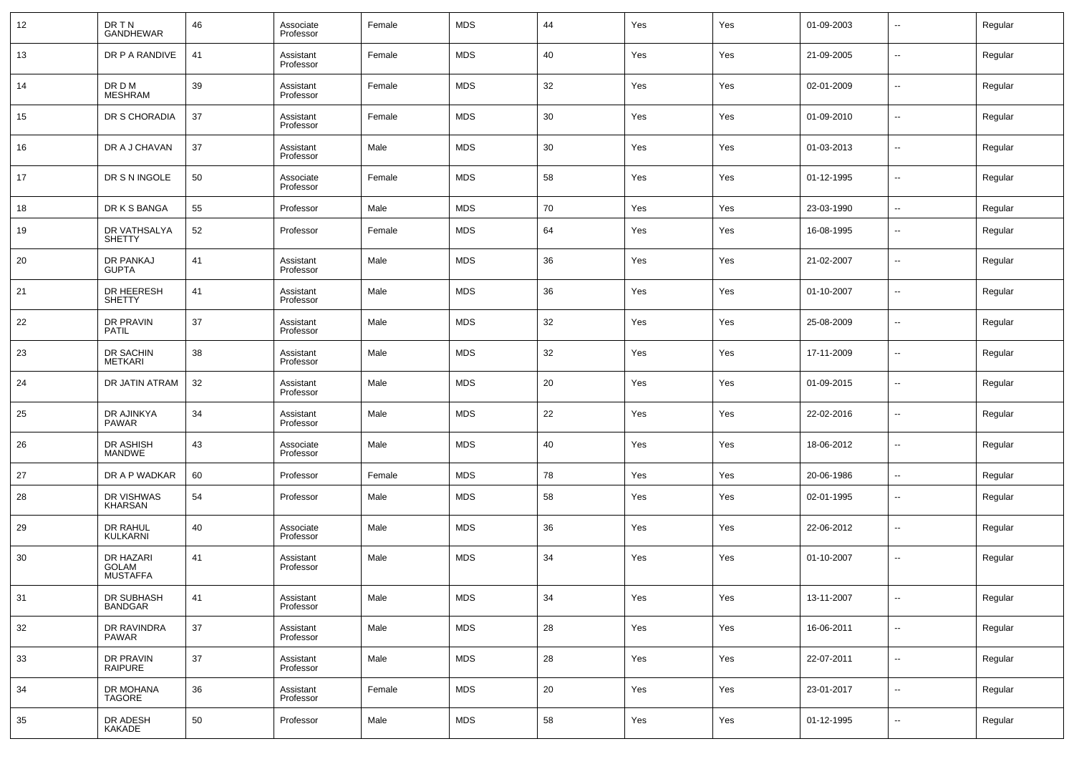| 12 | DR TN<br><b>GANDHEWAR</b>             | 46 | Associate<br>Professor | Female | <b>MDS</b> | 44 | Yes | Yes | 01-09-2003 | $\overline{\phantom{a}}$ | Regular |
|----|---------------------------------------|----|------------------------|--------|------------|----|-----|-----|------------|--------------------------|---------|
| 13 | DR P A RANDIVE                        | 41 | Assistant<br>Professor | Female | <b>MDS</b> | 40 | Yes | Yes | 21-09-2005 | $\overline{\phantom{a}}$ | Regular |
| 14 | DR D M<br><b>MESHRAM</b>              | 39 | Assistant<br>Professor | Female | <b>MDS</b> | 32 | Yes | Yes | 02-01-2009 | $\overline{\phantom{a}}$ | Regular |
| 15 | DR S CHORADIA                         | 37 | Assistant<br>Professor | Female | <b>MDS</b> | 30 | Yes | Yes | 01-09-2010 | $\overline{\phantom{a}}$ | Regular |
| 16 | DR A J CHAVAN                         | 37 | Assistant<br>Professor | Male   | <b>MDS</b> | 30 | Yes | Yes | 01-03-2013 | $\sim$                   | Regular |
| 17 | DR S N INGOLE                         | 50 | Associate<br>Professor | Female | <b>MDS</b> | 58 | Yes | Yes | 01-12-1995 | $\overline{\phantom{a}}$ | Regular |
| 18 | DR K S BANGA                          | 55 | Professor              | Male   | <b>MDS</b> | 70 | Yes | Yes | 23-03-1990 | $\sim$                   | Regular |
| 19 | DR VATHSALYA<br><b>SHETTY</b>         | 52 | Professor              | Female | <b>MDS</b> | 64 | Yes | Yes | 16-08-1995 | --                       | Regular |
| 20 | DR PANKAJ<br><b>GUPTA</b>             | 41 | Assistant<br>Professor | Male   | <b>MDS</b> | 36 | Yes | Yes | 21-02-2007 | --                       | Regular |
| 21 | DR HEERESH<br><b>SHETTY</b>           | 41 | Assistant<br>Professor | Male   | <b>MDS</b> | 36 | Yes | Yes | 01-10-2007 | --                       | Regular |
| 22 | DR PRAVIN<br><b>PATIL</b>             | 37 | Assistant<br>Professor | Male   | <b>MDS</b> | 32 | Yes | Yes | 25-08-2009 | --                       | Regular |
| 23 | DR SACHIN<br><b>METKARI</b>           | 38 | Assistant<br>Professor | Male   | <b>MDS</b> | 32 | Yes | Yes | 17-11-2009 | --                       | Regular |
| 24 | DR JATIN ATRAM                        | 32 | Assistant<br>Professor | Male   | <b>MDS</b> | 20 | Yes | Yes | 01-09-2015 | --                       | Regular |
| 25 | DR AJINKYA<br><b>PAWAR</b>            | 34 | Assistant<br>Professor | Male   | <b>MDS</b> | 22 | Yes | Yes | 22-02-2016 | --                       | Regular |
| 26 | DR ASHISH<br><b>MANDWE</b>            | 43 | Associate<br>Professor | Male   | <b>MDS</b> | 40 | Yes | Yes | 18-06-2012 | $\sim$                   | Regular |
| 27 | DR A P WADKAR                         | 60 | Professor              | Female | <b>MDS</b> | 78 | Yes | Yes | 20-06-1986 | $\sim$                   | Regular |
| 28 | DR VISHWAS<br>KHARSAN                 | 54 | Professor              | Male   | <b>MDS</b> | 58 | Yes | Yes | 02-01-1995 | --                       | Regular |
| 29 | DR RAHUL<br>KULKARNI                  | 40 | Associate<br>Professor | Male   | <b>MDS</b> | 36 | Yes | Yes | 22-06-2012 | $\overline{\phantom{a}}$ | Regular |
| 30 | DR HAZARI<br>GOLAM<br><b>MUSTAFFA</b> | 41 | Assistant<br>Professor | Male   | <b>MDS</b> | 34 | Yes | Yes | 01-10-2007 | --                       | Regular |
| 31 | DR SUBHASH<br><b>BANDGAR</b>          | 41 | Assistant<br>Professor | Male   | <b>MDS</b> | 34 | Yes | Yes | 13-11-2007 | $\sim$                   | Regular |
| 32 | DR RAVINDRA<br><b>PAWAR</b>           | 37 | Assistant<br>Professor | Male   | <b>MDS</b> | 28 | Yes | Yes | 16-06-2011 | $\overline{\phantom{a}}$ | Regular |
| 33 | DR PRAVIN<br><b>RAIPURE</b>           | 37 | Assistant<br>Professor | Male   | <b>MDS</b> | 28 | Yes | Yes | 22-07-2011 | $\sim$                   | Regular |
| 34 | DR MOHANA<br><b>TAGORE</b>            | 36 | Assistant<br>Professor | Female | <b>MDS</b> | 20 | Yes | Yes | 23-01-2017 | $\sim$                   | Regular |
| 35 | DR ADESH<br>KAKADE                    | 50 | Professor              | Male   | <b>MDS</b> | 58 | Yes | Yes | 01-12-1995 | $\overline{\phantom{a}}$ | Regular |